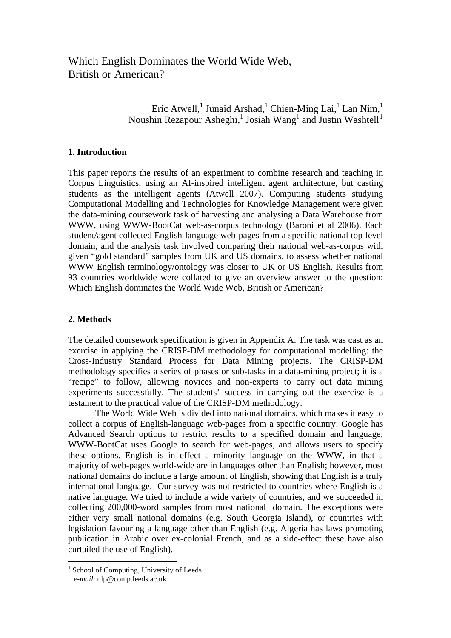Eric Atwell,<sup>1</sup> Junaid Arshad,<sup>1</sup> Chien-Ming Lai,<sup>1</sup> Lan Nim,<sup>1</sup> Noushin Rezapour Asheghi,<sup>[1](#page-0-0)</sup> Josiah Wang<sup>1</sup> and Justin Washtell<sup>1</sup>

# **1. Introduction**

This paper reports the results of an experiment to combine research and teaching in Corpus Linguistics, using an AI-inspired intelligent agent architecture, but casting students as the intelligent agents (Atwell 2007). Computing students studying Computational Modelling and Technologies for Knowledge Management were given the data-mining coursework task of harvesting and analysing a Data Warehouse from WWW, using WWW-BootCat web-as-corpus technology (Baroni et al 2006). Each student/agent collected English-language web-pages from a specific national top-level domain, and the analysis task involved comparing their national web-as-corpus with given "gold standard" samples from UK and US domains, to assess whether national WWW English terminology/ontology was closer to UK or US English. Results from 93 countries worldwide were collated to give an overview answer to the question: Which English dominates the World Wide Web, British or American?

# **2. Methods**

The detailed coursework specification is given in Appendix A. The task was cast as an exercise in applying the CRISP-DM methodology for computational modelling: the Cross-Industry Standard Process for Data Mining projects. The CRISP-DM methodology specifies a series of phases or sub-tasks in a data-mining project; it is a "recipe" to follow, allowing novices and non-experts to carry out data mining experiments successfully. The students' success in carrying out the exercise is a testament to the practical value of the CRISP-DM methodology.

 The World Wide Web is divided into national domains, which makes it easy to collect a corpus of English-language web-pages from a specific country: Google has Advanced Search options to restrict results to a specified domain and language; WWW-BootCat uses Google to search for web-pages, and allows users to specify these options. English is in effect a minority language on the WWW, in that a majority of web-pages world-wide are in languages other than English; however, most national domains do include a large amount of English, showing that English is a truly international language. Our survey was not restricted to countries where English is a native language. We tried to include a wide variety of countries, and we succeeded in collecting 200,000-word samples from most national domain. The exceptions were either very small national domains (e.g. South Georgia Island), or countries with legislation favouring a language other than English (e.g. Algeria has laws promoting publication in Arabic over ex-colonial French, and as a side-effect these have also curtailed the use of English).

 $\overline{a}$ 

<span id="page-0-0"></span><sup>&</sup>lt;sup>1</sup> School of Computing, University of Leeds

*e-mail*: nlp@comp.leeds.ac.uk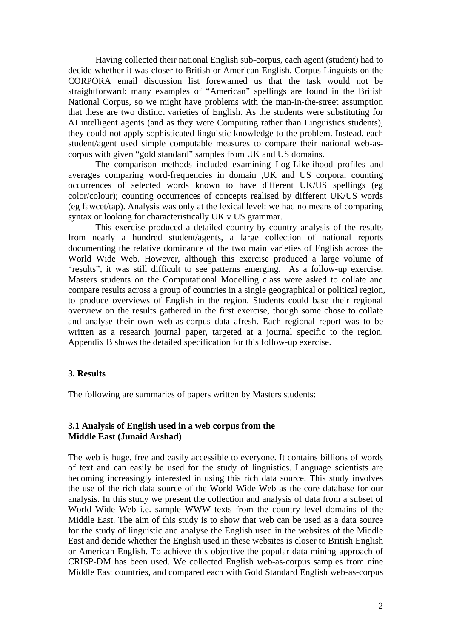Having collected their national English sub-corpus, each agent (student) had to decide whether it was closer to British or American English. Corpus Linguists on the CORPORA email discussion list forewarned us that the task would not be straightforward: many examples of "American" spellings are found in the British National Corpus, so we might have problems with the man-in-the-street assumption that these are two distinct varieties of English. As the students were substituting for AI intelligent agents (and as they were Computing rather than Linguistics students), they could not apply sophisticated linguistic knowledge to the problem. Instead, each student/agent used simple computable measures to compare their national web-ascorpus with given "gold standard" samples from UK and US domains.

 The comparison methods included examining Log-Likelihood profiles and averages comparing word-frequencies in domain ,UK and US corpora; counting occurrences of selected words known to have different UK/US spellings (eg color/colour); counting occurrences of concepts realised by different UK/US words (eg fawcet/tap). Analysis was only at the lexical level: we had no means of comparing syntax or looking for characteristically UK v US grammar.

 This exercise produced a detailed country-by-country analysis of the results from nearly a hundred student/agents, a large collection of national reports documenting the relative dominance of the two main varieties of English across the World Wide Web. However, although this exercise produced a large volume of "results", it was still difficult to see patterns emerging. As a follow-up exercise, Masters students on the Computational Modelling class were asked to collate and compare results across a group of countries in a single geographical or political region, to produce overviews of English in the region. Students could base their regional overview on the results gathered in the first exercise, though some chose to collate and analyse their own web-as-corpus data afresh. Each regional report was to be written as a research journal paper, targeted at a journal specific to the region. Appendix B shows the detailed specification for this follow-up exercise.

## **3. Results**

The following are summaries of papers written by Masters students:

## **3.1 Analysis of English used in a web corpus from the Middle East (Junaid Arshad)**

The web is huge, free and easily accessible to everyone. It contains billions of words of text and can easily be used for the study of linguistics. Language scientists are becoming increasingly interested in using this rich data source. This study involves the use of the rich data source of the World Wide Web as the core database for our analysis. In this study we present the collection and analysis of data from a subset of World Wide Web i.e. sample WWW texts from the country level domains of the Middle East. The aim of this study is to show that web can be used as a data source for the study of linguistic and analyse the English used in the websites of the Middle East and decide whether the English used in these websites is closer to British English or American English. To achieve this objective the popular data mining approach of CRISP-DM has been used. We collected English web-as-corpus samples from nine Middle East countries, and compared each with Gold Standard English web-as-corpus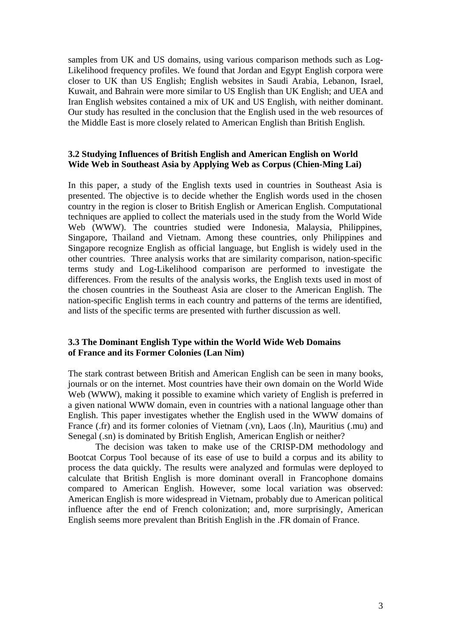samples from UK and US domains, using various comparison methods such as Log-Likelihood frequency profiles. We found that Jordan and Egypt English corpora were closer to UK than US English; English websites in Saudi Arabia, Lebanon, Israel, Kuwait, and Bahrain were more similar to US English than UK English; and UEA and Iran English websites contained a mix of UK and US English, with neither dominant. Our study has resulted in the conclusion that the English used in the web resources of the Middle East is more closely related to American English than British English.

## **3.2 Studying Influences of British English and American English on World Wide Web in Southeast Asia by Applying Web as Corpus (Chien-Ming Lai)**

In this paper, a study of the English texts used in countries in Southeast Asia is presented. The objective is to decide whether the English words used in the chosen country in the region is closer to British English or American English. Computational techniques are applied to collect the materials used in the study from the World Wide Web (WWW). The countries studied were Indonesia, Malaysia, Philippines, Singapore, Thailand and Vietnam. Among these countries, only Philippines and Singapore recognize English as official language, but English is widely used in the other countries. Three analysis works that are similarity comparison, nation-specific terms study and Log-Likelihood comparison are performed to investigate the differences. From the results of the analysis works, the English texts used in most of the chosen countries in the Southeast Asia are closer to the American English. The nation-specific English terms in each country and patterns of the terms are identified, and lists of the specific terms are presented with further discussion as well.

## **3.3 The Dominant English Type within the World Wide Web Domains of France and its Former Colonies (Lan Nim)**

The stark contrast between British and American English can be seen in many books, journals or on the internet. Most countries have their own domain on the World Wide Web (WWW), making it possible to examine which variety of English is preferred in a given national WWW domain, even in countries with a national language other than English. This paper investigates whether the English used in the WWW domains of France (.fr) and its former colonies of Vietnam (.vn), Laos (.ln), Mauritius (.mu) and Senegal (.sn) is dominated by British English, American English or neither?

 The decision was taken to make use of the CRISP-DM methodology and Bootcat Corpus Tool because of its ease of use to build a corpus and its ability to process the data quickly. The results were analyzed and formulas were deployed to calculate that British English is more dominant overall in Francophone domains compared to American English. However, some local variation was observed: American English is more widespread in Vietnam, probably due to American political influence after the end of French colonization; and, more surprisingly, American English seems more prevalent than British English in the .FR domain of France.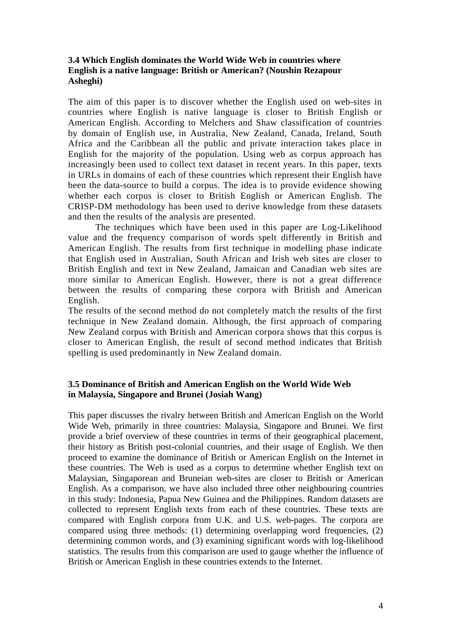# **3.4 Which English dominates the World Wide Web in countries where English is a native language: British or American? (Noushin Rezapour Asheghi)**

The aim of this paper is to discover whether the English used on web-sites in countries where English is native language is closer to British English or American English. According to Melchers and Shaw classification of countries by domain of English use, in Australia, New Zealand, Canada, Ireland, South Africa and the Caribbean all the public and private interaction takes place in English for the majority of the population. Using web as corpus approach has increasingly been used to collect text dataset in recent years. In this paper, texts in URLs in domains of each of these countries which represent their English have been the data-source to build a corpus. The idea is to provide evidence showing whether each corpus is closer to British English or American English. The CRISP-DM methodology has been used to derive knowledge from these datasets and then the results of the analysis are presented.

The techniques which have been used in this paper are Log-Likelihood value and the frequency comparison of words spelt differently in British and American English. The results from first technique in modelling phase indicate that English used in Australian, South African and Irish web sites are closer to British English and text in New Zealand, Jamaican and Canadian web sites are more similar to American English. However, there is not a great difference between the results of comparing these corpora with British and American English.

The results of the second method do not completely match the results of the first technique in New Zealand domain. Although, the first approach of comparing New Zealand corpus with British and American corpora shows that this corpus is closer to American English, the result of second method indicates that British spelling is used predominantly in New Zealand domain.

# **3.5 Dominance of British and American English on the World Wide Web in Malaysia, Singapore and Brunei (Josiah Wang)**

This paper discusses the rivalry between British and American English on the World Wide Web, primarily in three countries: Malaysia, Singapore and Brunei. We first provide a brief overview of these countries in terms of their geographical placement, their history as British post-colonial countries, and their usage of English. We then proceed to examine the dominance of British or American English on the Internet in these countries. The Web is used as a corpus to determine whether English text on Malaysian, Singaporean and Bruneian web-sites are closer to British or American English. As a comparison, we have also included three other neighbouring countries in this study: Indonesia, Papua New Guinea and the Philippines. Random datasets are collected to represent English texts from each of these countries. These texts are compared with English corpora from U.K. and U.S. web-pages. The corpora are compared using three methods: (1) determining overlapping word frequencies, (2) determining common words, and (3) examining significant words with log-likelihood statistics. The results from this comparison are used to gauge whether the influence of British or American English in these countries extends to the Internet.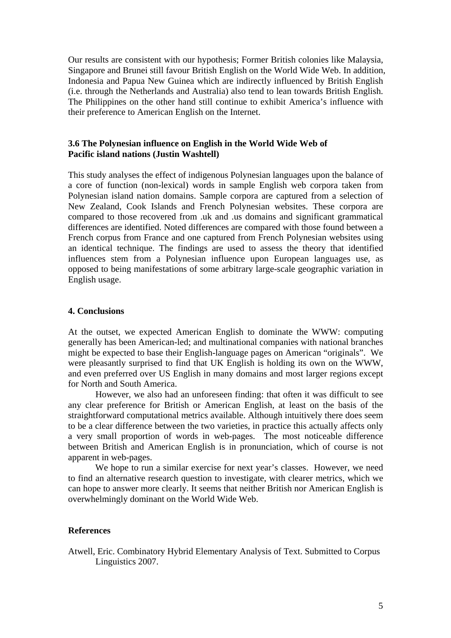Our results are consistent with our hypothesis; Former British colonies like Malaysia, Singapore and Brunei still favour British English on the World Wide Web. In addition, Indonesia and Papua New Guinea which are indirectly influenced by British English (i.e. through the Netherlands and Australia) also tend to lean towards British English. The Philippines on the other hand still continue to exhibit America's influence with their preference to American English on the Internet.

## **3.6 The Polynesian influence on English in the World Wide Web of Pacific island nations (Justin Washtell)**

This study analyses the effect of indigenous Polynesian languages upon the balance of a core of function (non-lexical) words in sample English web corpora taken from Polynesian island nation domains. Sample corpora are captured from a selection of New Zealand, Cook Islands and French Polynesian websites. These corpora are compared to those recovered from .uk and .us domains and significant grammatical differences are identified. Noted differences are compared with those found between a French corpus from France and one captured from French Polynesian websites using an identical technique. The findings are used to assess the theory that identified influences stem from a Polynesian influence upon European languages use, as opposed to being manifestations of some arbitrary large-scale geographic variation in English usage.

## **4. Conclusions**

At the outset, we expected American English to dominate the WWW: computing generally has been American-led; and multinational companies with national branches might be expected to base their English-language pages on American "originals". We were pleasantly surprised to find that UK English is holding its own on the WWW, and even preferred over US English in many domains and most larger regions except for North and South America.

 However, we also had an unforeseen finding: that often it was difficult to see any clear preference for British or American English, at least on the basis of the straightforward computational metrics available. Although intuitively there does seem to be a clear difference between the two varieties, in practice this actually affects only a very small proportion of words in web-pages. The most noticeable difference between British and American English is in pronunciation, which of course is not apparent in web-pages.

 We hope to run a similar exercise for next year's classes. However, we need to find an alternative research question to investigate, with clearer metrics, which we can hope to answer more clearly. It seems that neither British nor American English is overwhelmingly dominant on the World Wide Web.

## **References**

Atwell, Eric. Combinatory Hybrid Elementary Analysis of Text. Submitted to Corpus Linguistics 2007.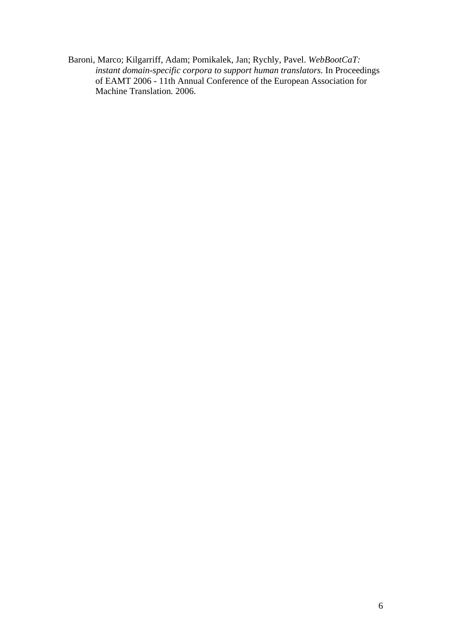Baroni, Marco; Kilgarriff, Adam; Pomikalek, Jan; Rychly, Pavel. *WebBootCaT: instant domain-specific corpora to support human translators.* In Proceedings of EAMT 2006 - 11th Annual Conference of the European Association for Machine Translation*.* 2006.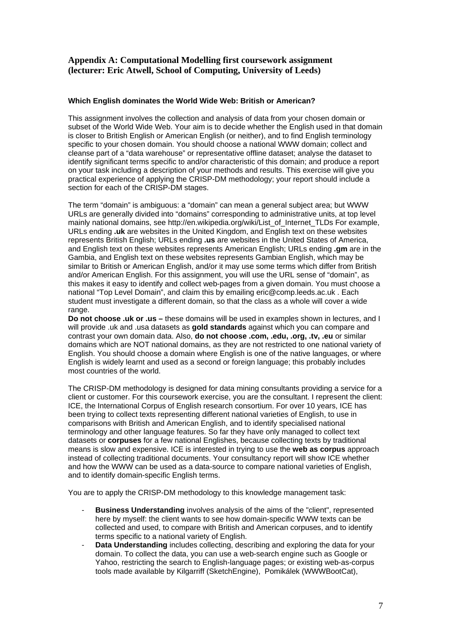# **Appendix A: Computational Modelling first coursework assignment (lecturer: Eric Atwell, School of Computing, University of Leeds)**

#### **Which English dominates the World Wide Web: British or American?**

This assignment involves the collection and analysis of data from your chosen domain or subset of the World Wide Web. Your aim is to decide whether the English used in that domain is closer to British English or American English (or neither), and to find English terminology specific to your chosen domain. You should choose a national WWW domain; collect and cleanse part of a "data warehouse" or representative offline dataset; analyse the dataset to identify significant terms specific to and/or characteristic of this domain; and produce a report on your task including a description of your methods and results. This exercise will give you practical experience of applying the CRISP-DM methodology; your report should include a section for each of the CRISP-DM stages.

The term "domain" is ambiguous: a "domain" can mean a general subject area; but WWW URLs are generally divided into "domains" corresponding to administrative units, at top level mainly national domains, see http://en.wikipedia.org/wiki/List\_of\_Internet\_TLDs For example, URLs ending **.uk** are websites in the United Kingdom, and English text on these websites represents British English; URLs ending **.us** are websites in the United States of America, and English text on these websites represents American English; URLs ending **.gm** are in the Gambia, and English text on these websites represents Gambian English, which may be similar to British or American English, and/or it may use some terms which differ from British and/or American English. For this assignment, you will use the URL sense of "domain", as this makes it easy to identify and collect web-pages from a given domain. You must choose a national "Top Level Domain", and claim this by emailing eric@comp.leeds.ac.uk . Each student must investigate a different domain, so that the class as a whole will cover a wide range.

**Do not choose .uk or .us –** these domains will be used in examples shown in lectures, and I will provide .uk and .usa datasets as **gold standards** against which you can compare and contrast your own domain data. Also, **do not choose .com, .edu, .org, .tv, .eu** or similar domains which are NOT national domains, as they are not restricted to one national variety of English. You should choose a domain where English is one of the native languages, or where English is widely learnt and used as a second or foreign language; this probably includes most countries of the world.

The CRISP-DM methodology is designed for data mining consultants providing a service for a client or customer. For this coursework exercise, you are the consultant. I represent the client: ICE, the International Corpus of English research consortium. For over 10 years, ICE has been trying to collect texts representing different national varieties of English, to use in comparisons with British and American English, and to identify specialised national terminology and other language features. So far they have only managed to collect text datasets or **corpuses** for a few national Englishes, because collecting texts by traditional means is slow and expensive. ICE is interested in trying to use the **web as corpus** approach instead of collecting traditional documents. Your consultancy report will show ICE whether and how the WWW can be used as a data-source to compare national varieties of English, and to identify domain-specific English terms.

You are to apply the CRISP-DM methodology to this knowledge management task:

- **Business Understanding** involves analysis of the aims of the "client", represented here by myself: the client wants to see how domain-specific WWW texts can be collected and used, to compare with British and American corpuses, and to identify terms specific to a national variety of English.
- **Data Understanding** includes collecting, describing and exploring the data for your domain. To collect the data, you can use a web-search engine such as Google or Yahoo, restricting the search to English-language pages; or existing web-as-corpus tools made available by Kilgarriff (SketchEngine), Pomikálek (WWWBootCat),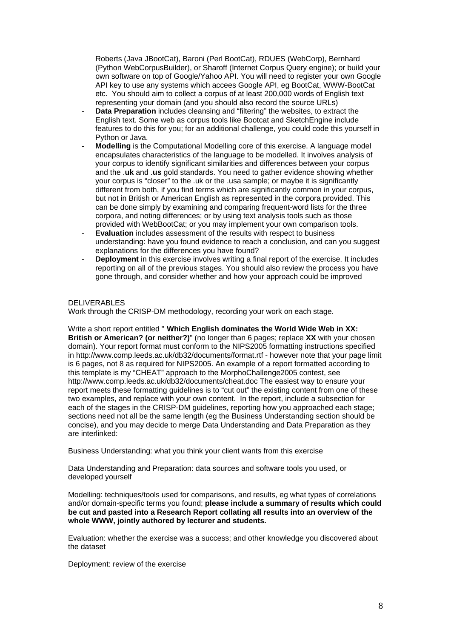Roberts (Java JBootCat), Baroni (Perl BootCat), RDUES (WebCorp), Bernhard (Python WebCorpusBuilder), or Sharoff (Internet Corpus Query engine); or build your own software on top of Google/Yahoo API. You will need to register your own Google API key to use any systems which accees Google API, eg BootCat, WWW-BootCat etc. You should aim to collect a corpus of at least 200,000 words of English text representing your domain (and you should also record the source URLs)

- Data Preparation includes cleansing and "filtering" the websites, to extract the English text. Some web as corpus tools like Bootcat and SketchEngine include features to do this for you; for an additional challenge, you could code this yourself in Python or Java.
- **Modelling** is the Computational Modelling core of this exercise. A language model encapsulates characteristics of the language to be modelled. It involves analysis of your corpus to identify significant similarities and differences between your corpus and the .**uk** and .**us** gold standards. You need to gather evidence showing whether your corpus is "closer" to the .uk or the .usa sample; or maybe it is significantly different from both, if you find terms which are significantly common in your corpus, but not in British or American English as represented in the corpora provided. This can be done simply by examining and comparing frequent-word lists for the three corpora, and noting differences; or by using text analysis tools such as those provided with WebBootCat; or you may implement your own comparison tools.
- **Evaluation** includes assessment of the results with respect to business understanding: have you found evidence to reach a conclusion, and can you suggest explanations for the differences you have found?
- **Deployment** in this exercise involves writing a final report of the exercise. It includes reporting on all of the previous stages. You should also review the process you have gone through, and consider whether and how your approach could be improved

#### DELIVERABLES

Work through the CRISP-DM methodology, recording your work on each stage.

Write a short report entitled " **Which English dominates the World Wide Web in XX: British or American? (or neither?)**" (no longer than 6 pages; replace **XX** with your chosen domain). Your report format must conform to the NIPS2005 formatting instructions specified in http://www.comp.leeds.ac.uk/db32/documents/format.rtf - however note that your page limit is 6 pages, not 8 as required for NIPS2005. An example of a report formatted according to this template is my "CHEAT" approach to the MorphoChallenge2005 contest, see http://www.comp.leeds.ac.uk/db32/documents/cheat.doc The easiest way to ensure your report meets these formatting guidelines is to "cut out" the existing content from one of these two examples, and replace with your own content. In the report, include a subsection for each of the stages in the CRISP-DM guidelines, reporting how you approached each stage; sections need not all be the same length (eg the Business Understanding section should be concise), and you may decide to merge Data Understanding and Data Preparation as they are interlinked:

Business Understanding: what you think your client wants from this exercise

Data Understanding and Preparation: data sources and software tools you used, or developed yourself

Modelling: techniques/tools used for comparisons, and results, eg what types of correlations and/or domain-specific terms you found; **please include a summary of results which could be cut and pasted into a Research Report collating all results into an overview of the whole WWW, jointly authored by lecturer and students.**

Evaluation: whether the exercise was a success; and other knowledge you discovered about the dataset

Deployment: review of the exercise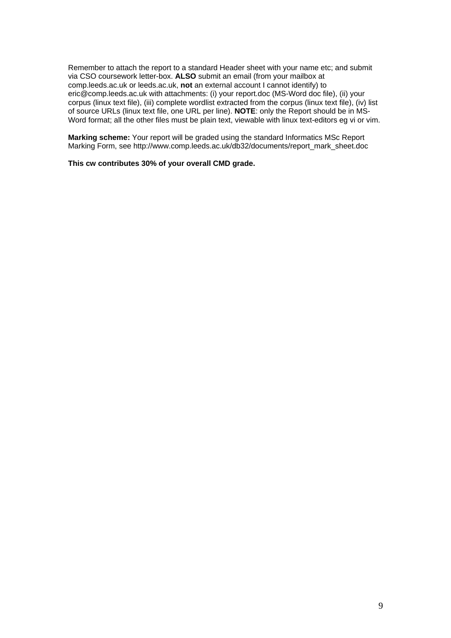Remember to attach the report to a standard Header sheet with your name etc; and submit via CSO coursework letter-box. **ALSO** submit an email (from your mailbox at comp.leeds.ac.uk or leeds.ac.uk, **not** an external account I cannot identify) to eric@comp.leeds.ac.uk with attachments: (i) your report.doc (MS-Word doc file), (ii) your corpus (linux text file), (iii) complete wordlist extracted from the corpus (linux text file), (iv) list of source URLs (linux text file, one URL per line). **NOTE**: only the Report should be in MS-Word format; all the other files must be plain text, viewable with linux text-editors eg vi or vim.

**Marking scheme:** Your report will be graded using the standard Informatics MSc Report Marking Form, see http://www.comp.leeds.ac.uk/db32/documents/report\_mark\_sheet.doc

**This cw contributes 30% of your overall CMD grade.**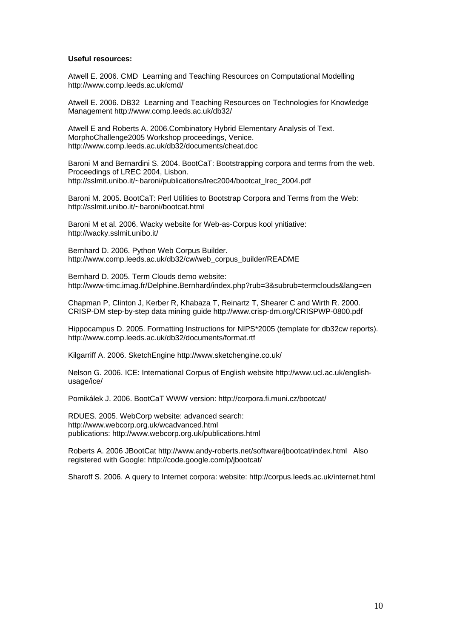#### **Useful resources:**

Atwell E. 2006. CMD Learning and Teaching Resources on Computational Modelling http://www.comp.leeds.ac.uk/cmd/

Atwell E. 2006. DB32 Learning and Teaching Resources on Technologies for Knowledge Management http://www.comp.leeds.ac.uk/db32/

Atwell E and Roberts A. 2006.Combinatory Hybrid Elementary Analysis of Text. MorphoChallenge2005 Workshop proceedings, Venice. http://www.comp.leeds.ac.uk/db32/documents/cheat.doc

Baroni M and Bernardini S. 2004. BootCaT: Bootstrapping corpora and terms from the web. Proceedings of LREC 2004, Lisbon. http://sslmit.unibo.it/~baroni/publications/lrec2004/bootcat\_lrec\_2004.pdf

Baroni M. 2005. BootCaT: Perl Utilities to Bootstrap Corpora and Terms from the Web: http://sslmit.unibo.it/~baroni/bootcat.html

Baroni M et al. 2006. Wacky website for Web-as-Corpus kool ynitiative: http://wacky.sslmit.unibo.it/

Bernhard D. 2006. Python Web Corpus Builder. http://www.comp.leeds.ac.uk/db32/cw/web\_corpus\_builder/README

Bernhard D. 2005. Term Clouds demo website: http://www-timc.imag.fr/Delphine.Bernhard/index.php?rub=3&subrub=termclouds&lang=en

Chapman P, Clinton J, Kerber R, Khabaza T, Reinartz T, Shearer C and Wirth R. 2000. CRISP-DM step-by-step data mining guide http://www.crisp-dm.org/CRISPWP-0800.pdf

Hippocampus D. 2005. Formatting Instructions for NIPS\*2005 (template for db32cw reports). http://www.comp.leeds.ac.uk/db32/documents/format.rtf

Kilgarriff A. 2006. SketchEngine http://www.sketchengine.co.uk/

Nelson G. 2006. ICE: International Corpus of English website http://www.ucl.ac.uk/englishusage/ice/

Pomikálek J. 2006. BootCaT WWW version: http://corpora.fi.muni.cz/bootcat/

RDUES. 2005. WebCorp website: advanced search: http://www.webcorp.org.uk/wcadvanced.html publications: http://www.webcorp.org.uk/publications.html

Roberts A. 2006 JBootCat http://www.andy-roberts.net/software/jbootcat/index.html Also registered with Google: http://code.google.com/p/jbootcat/

Sharoff S. 2006. A query to Internet corpora: website: http://corpus.leeds.ac.uk/internet.html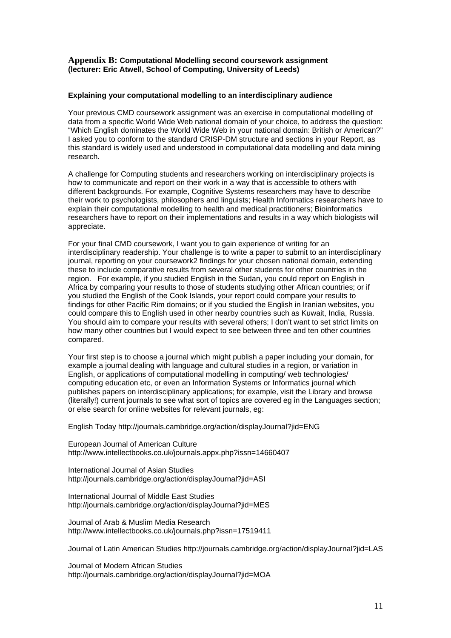#### **Appendix B: Computational Modelling second coursework assignment (lecturer: Eric Atwell, School of Computing, University of Leeds)**

#### **Explaining your computational modelling to an interdisciplinary audience**

Your previous CMD coursework assignment was an exercise in computational modelling of data from a specific World Wide Web national domain of your choice, to address the question: "Which English dominates the World Wide Web in your national domain: British or American?" I asked you to conform to the standard CRISP-DM structure and sections in your Report, as this standard is widely used and understood in computational data modelling and data mining research.

A challenge for Computing students and researchers working on interdisciplinary projects is how to communicate and report on their work in a way that is accessible to others with different backgrounds. For example, Cognitive Systems researchers may have to describe their work to psychologists, philosophers and linguists; Health Informatics researchers have to explain their computational modelling to health and medical practitioners; Bioinformatics researchers have to report on their implementations and results in a way which biologists will appreciate.

For your final CMD coursework, I want you to gain experience of writing for an interdisciplinary readership. Your challenge is to write a paper to submit to an interdisciplinary journal, reporting on your coursework2 findings for your chosen national domain, extending these to include comparative results from several other students for other countries in the region. For example, if you studied English in the Sudan, you could report on English in Africa by comparing your results to those of students studying other African countries; or if you studied the English of the Cook Islands, your report could compare your results to findings for other Pacific Rim domains; or if you studied the English in Iranian websites, you could compare this to English used in other nearby countries such as Kuwait, India, Russia. You should aim to compare your results with several others; I don't want to set strict limits on how many other countries but I would expect to see between three and ten other countries compared.

Your first step is to choose a journal which might publish a paper including your domain, for example a journal dealing with language and cultural studies in a region, or variation in English, or applications of computational modelling in computing/ web technologies/ computing education etc, or even an Information Systems or Informatics journal which publishes papers on interdisciplinary applications; for example, visit the Library and browse (literally!) current journals to see what sort of topics are covered eg in the Languages section; or else search for online websites for relevant journals, eg:

English Today http://journals.cambridge.org/action/displayJournal?jid=ENG

European Journal of American Culture http://www.intellectbooks.co.uk/journals.appx.php?issn=14660407

International Journal of Asian Studies http://journals.cambridge.org/action/displayJournal?jid=ASI

International Journal of Middle East Studies http://journals.cambridge.org/action/displayJournal?jid=MES

Journal of Arab & Muslim Media Research http://www.intellectbooks.co.uk/journals.php?issn=17519411

Journal of Latin American Studies http://journals.cambridge.org/action/displayJournal?jid=LAS

Journal of Modern African Studies http://journals.cambridge.org/action/displayJournal?jid=MOA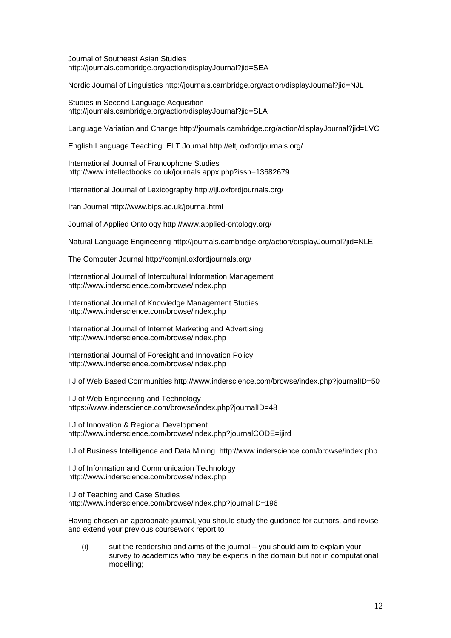Journal of Southeast Asian Studies http://journals.cambridge.org/action/displayJournal?jid=SEA

Nordic Journal of Linguistics http://journals.cambridge.org/action/displayJournal?jid=NJL

Studies in Second Language Acquisition http://journals.cambridge.org/action/displayJournal?jid=SLA

Language Variation and Change http://journals.cambridge.org/action/displayJournal?jid=LVC

English Language Teaching: ELT Journal http://eltj.oxfordjournals.org/

International Journal of Francophone Studies http://www.intellectbooks.co.uk/journals.appx.php?issn=13682679

International Journal of Lexicography http://ijl.oxfordjournals.org/

Iran Journal http://www.bips.ac.uk/journal.html

Journal of Applied Ontology http://www.applied-ontology.org/

Natural Language Engineering http://journals.cambridge.org/action/displayJournal?jid=NLE

The Computer Journal http://comjnl.oxfordjournals.org/

International Journal of Intercultural Information Management http://www.inderscience.com/browse/index.php

International Journal of Knowledge Management Studies http://www.inderscience.com/browse/index.php

International Journal of Internet Marketing and Advertising http://www.inderscience.com/browse/index.php

International Journal of Foresight and Innovation Policy http://www.inderscience.com/browse/index.php

I J of Web Based Communities http://www.inderscience.com/browse/index.php?journalID=50

I J of Web Engineering and Technology https://www.inderscience.com/browse/index.php?journalID=48

I J of Innovation & Regional Development http://www.inderscience.com/browse/index.php?journalCODE=ijird

I J of Business Intelligence and Data Mining http://www.inderscience.com/browse/index.php

I J of Information and Communication Technology http://www.inderscience.com/browse/index.php

I J of Teaching and Case Studies http://www.inderscience.com/browse/index.php?journalID=196

Having chosen an appropriate journal, you should study the guidance for authors, and revise and extend your previous coursework report to

(i) suit the readership and aims of the journal – you should aim to explain your survey to academics who may be experts in the domain but not in computational modelling;